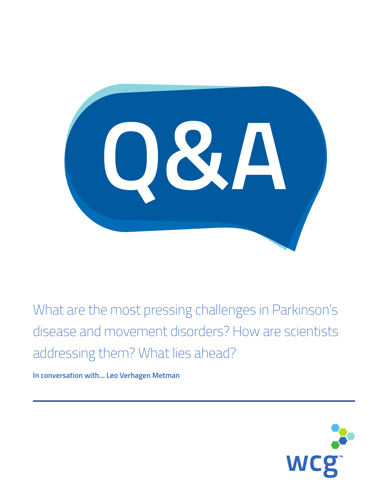OSA

What are the most pressing challenges in Parkinson's disease and movement disorders? How are scientists addressing them? What lies ahead?

**In conversation with… Leo Verhagen Metman**

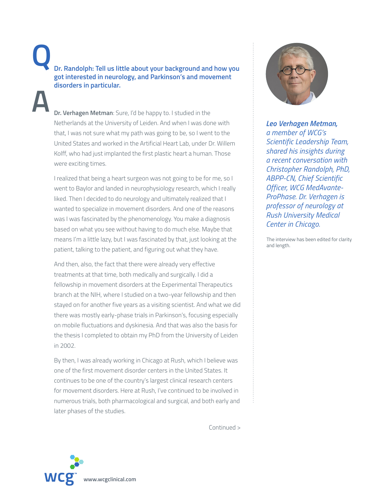**Dr. Verhagen Metman**: Sure, I'd be happy to. I studied in the Netherlands at the University of Leiden. And when I was done with that, I was not sure what my path was going to be, so I went to the United States and worked in the Artificial Heart Lab, under Dr. Willem Kolff, who had just implanted the first plastic heart a human. Those were exciting times.

 I realized that being a heart surgeon was not going to be for me, so I went to Baylor and landed in neurophysiology research, which I really liked. Then I decided to do neurology and ultimately realized that I wanted to specialize in movement disorders. And one of the reasons was I was fascinated by the phenomenology. You make a diagnosis based on what you see without having to do much else. Maybe that means I'm a little lazy, but I was fascinated by that, just looking at the patient, talking to the patient, and figuring out what they have.

 And then, also, the fact that there were already very effective treatments at that time, both medically and surgically. I did a fellowship in movement disorders at the Experimental Therapeutics branch at the NIH, where I studied on a two-year fellowship and then stayed on for another five years as a visiting scientist. And what we did there was mostly early-phase trials in Parkinson's, focusing especially on mobile fluctuations and dyskinesia. And that was also the basis for the thesis I completed to obtain my PhD from the University of Leiden in 2002.

 By then, I was already working in Chicago at Rush, which I believe was one of the first movement disorder centers in the United States. It continues to be one of the country's largest clinical research centers for movement disorders. Here at Rush, I've continued to be involved in numerous trials, both pharmacological and surgical, and both early and later phases of the studies.

Continued >



*Leo Verhagen Metman, a member of WCG's* 

*Scientific Leadership Team, shared his insights during a recent conversation with Christopher Randolph, PhD, ABPP-CN, Chief Scientific Officer, WCG MedAvante-ProPhase. Dr. Verhagen is professor of neurology at Rush University Medical Center in Chicago.*

The interview has been edited for clarity and length.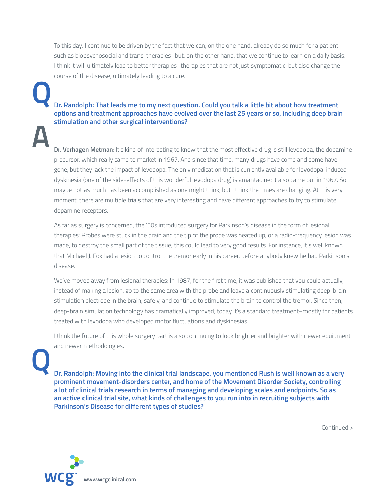To this day, I continue to be driven by the fact that we can, on the one hand, already do so much for a patient– such as biopsychosocial and trans-therapies–but, on the other hand, that we continue to learn on a daily basis. I think it will ultimately lead to better therapies–therapies that are not just symptomatic, but also change the course of the disease, ultimately leading to a cure.

## **Dr. Randolph: That leads me to my next question. Could you talk a little bit about how treatment options and treatment approaches have evolved over the last 25 years or so, including deep brain stimulation and other surgical interventions?**

 **Dr. Verhagen Metman**: It's kind of interesting to know that the most effective drug is still levodopa, the dopamine precursor, which really came to market in 1967. And since that time, many drugs have come and some have gone, but they lack the impact of levodopa. The only medication that is currently available for levodopa-induced dyskinesia (one of the side-effects of this wonderful levodopa drug) is amantadine; it also came out in 1967. So maybe not as much has been accomplished as one might think, but I think the times are changing. At this very moment, there are multiple trials that are very interesting and have different approaches to try to stimulate dopamine receptors.

 As far as surgery is concerned, the '50s introduced surgery for Parkinson's disease in the form of lesional therapies: Probes were stuck in the brain and the tip of the probe was heated up, or a radio-frequency lesion was made, to destroy the small part of the tissue; this could lead to very good results. For instance, it's well known that Michael J. Fox had a lesion to control the tremor early in his career, before anybody knew he had Parkinson's disease.

 We've moved away from lesional therapies: In 1987, for the first time, it was published that you could actually, instead of making a lesion, go to the same area with the probe and leave a continuously stimulating deep-brain stimulation electrode in the brain, safely, and continue to stimulate the brain to control the tremor. Since then, deep-brain simulation technology has dramatically improved; today it's a standard treatment–mostly for patients treated with levodopa who developed motor fluctuations and dyskinesias.

 I think the future of this whole surgery part is also continuing to look brighter and brighter with newer equipment and newer methodologies.

**Q**

 **Dr. Randolph: Moving into the clinical trial landscape, you mentioned Rush is well known as a very prominent movement-disorders center, and home of the Movement Disorder Society, controlling a lot of clinical trials research in terms of managing and developing scales and endpoints. So as an active clinical trial site, what kinds of challenges to you run into in recruiting subjects with Parkinson's Disease for different types of studies?**

Continued >

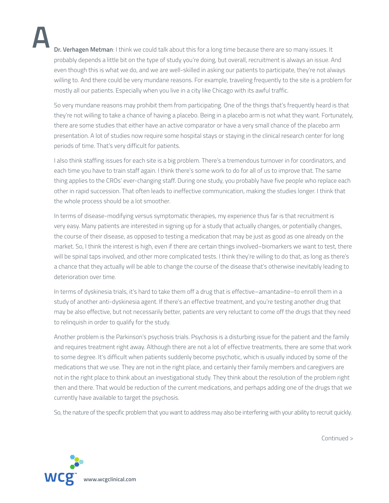**Dr. Verhagen Metman**: I think we could talk about this for a long time because there are so many issues. It probably depends a little bit on the type of study you're doing, but overall, recruitment is always an issue. And even though this is what we do, and we are well-skilled in asking our patients to participate, they're not always willing to. And there could be very mundane reasons. For example, traveling frequently to the site is a problem for mostly all our patients. Especially when you live in a city like Chicago with its awful traffic.

 So very mundane reasons may prohibit them from participating. One of the things that's frequently heard is that they're not willing to take a chance of having a placebo. Being in a placebo arm is not what they want. Fortunately, there are some studies that either have an active comparator or have a very small chance of the placebo arm presentation. A lot of studies now require some hospital stays or staying in the clinical research center for long periods of time. That's very difficult for patients.

 I also think staffing issues for each site is a big problem. There's a tremendous turnover in for coordinators, and each time you have to train staff again. I think there's some work to do for all of us to improve that. The same thing applies to the CROs' ever-changing staff. During one study, you probably have five people who replace each other in rapid succession. That often leads to ineffective communication, making the studies longer. I think that the whole process should be a lot smoother.

 In terms of disease-modifying versus symptomatic therapies, my experience thus far is that recruitment is very easy. Many patients are interested in signing up for a study that actually changes, or potentially changes, the course of their disease, as opposed to testing a medication that may be just as good as one already on the market. So, I think the interest is high, even if there are certain things involved–biomarkers we want to test, there will be spinal taps involved, and other more complicated tests. I think they're willing to do that, as long as there's a chance that they actually will be able to change the course of the disease that's otherwise inevitably leading to deterioration over time.

 In terms of dyskinesia trials, it's hard to take them off a drug that is effective–amantadine–to enroll them in a study of another anti-dyskinesia agent. If there's an effective treatment, and you're testing another drug that may be also effective, but not necessarily better, patients are very reluctant to come off the drugs that they need to relinquish in order to qualify for the study.

 Another problem is the Parkinson's psychosis trials. Psychosis is a disturbing issue for the patient and the family and requires treatment right away. Although there are not a lot of effective treatments, there are some that work to some degree. It's difficult when patients suddenly become psychotic, which is usually induced by some of the medications that we use. They are not in the right place, and certainly their family members and caregivers are not in the right place to think about an investigational study. They think about the resolution of the problem right then and there. That would be reduction of the current medications, and perhaps adding one of the drugs that we currently have available to target the psychosis.

So, the nature of the specific problem that you want to address may also be interfering with your ability to recruit quickly.



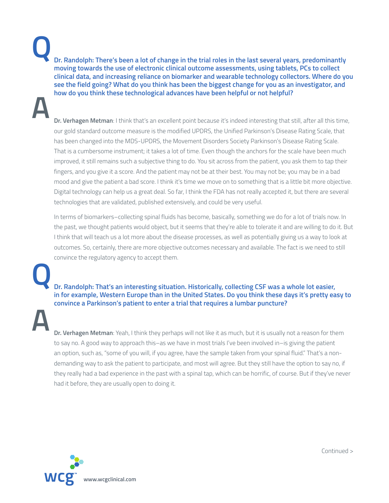**Q**

 **Dr. Randolph: There's been a lot of change in the trial roles in the last several years, predominantly moving towards the use of electronic clinical outcome assessments, using tablets, PCs to collect clinical data, and increasing reliance on biomarker and wearable technology collectors. Where do you see the field going? What do you think has been the biggest change for you as an investigator, and how do you think these technological advances have been helpful or not helpful?**

 **Dr. Verhagen Metman**: I think that's an excellent point because it's indeed interesting that still, after all this time, our gold standard outcome measure is the modified UPDRS, the Unified Parkinson's Disease Rating Scale, that has been changed into the MDS-UPDRS, the Movement Disorders Society Parkinson's Disease Rating Scale. That is a cumbersome instrument; it takes a lot of time. Even though the anchors for the scale have been much improved, it still remains such a subjective thing to do. You sit across from the patient, you ask them to tap their fingers, and you give it a score. And the patient may not be at their best. You may not be; you may be in a bad mood and give the patient a bad score. I think it's time we move on to something that is a little bit more objective. Digital technology can help us a great deal. So far, I think the FDA has not really accepted it, but there are several technologies that are validated, published extensively, and could be very useful.

 In terms of biomarkers–collecting spinal fluids has become, basically, something we do for a lot of trials now. In the past, we thought patients would object, but it seems that they're able to tolerate it and are willing to do it. But I think that will teach us a lot more about the disease processes, as well as potentially giving us a way to look at outcomes. So, certainly, there are more objective outcomes necessary and available. The fact is we need to still convince the regulatory agency to accept them.

 **Dr. Randolph: That's an interesting situation. Historically, collecting CSF was a whole lot easier, in for example, Western Europe than in the United States. Do you think these days it's pretty easy to convince a Parkinson's patient to enter a trial that requires a lumbar puncture?**

**A**

**Q**

 **Dr. Verhagen Metman**: Yeah, I think they perhaps will not like it as much, but it is usually not a reason for them to say no. A good way to approach this–as we have in most trials I've been involved in–is giving the patient an option, such as, "some of you will, if you agree, have the sample taken from your spinal fluid." That's a nondemanding way to ask the patient to participate, and most will agree. But they still have the option to say no, if they really had a bad experience in the past with a spinal tap, which can be horrific, of course. But if they've never had it before, they are usually open to doing it.



Continued >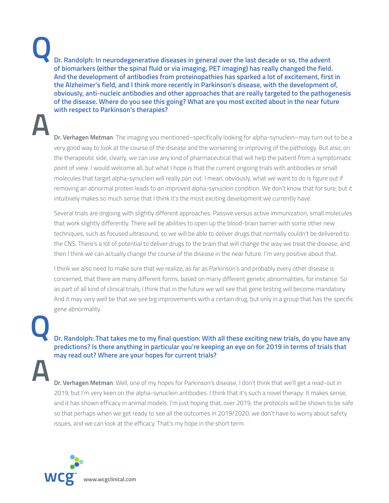**Q**

**A**

**Dr. Randolph: In neurodegenerative diseases in general over the last decade or so, the advent of biomarkers (either the spinal fluid or via imaging, PET imaging) has really changed the field. And the development of antibodies from proteinopathies has sparked a lot of excitement, first in the Alzheimer's field, and I think more recently in Parkinson's disease, with the development of, obviously, anti-nucleic antibodies and other approaches that are really targeted to the pathogenesis of the disease. Where do you see this going? What are you most excited about in the near future with respect to Parkinson's therapies?**

**Dr. Verhagen Metman**: The imaging you mentioned–specifically looking for alpha-synuclein–may turn out to be a very good way to look at the course of the disease and the worsening or improving of the pathology. But also, on the therapeutic side, clearly, we can use any kind of pharmaceutical that will help the patient from a symptomatic point of view. I would welcome all, but what I hope is that the current ongoing trials with antibodies or small molecules that target alpha-synuclein will really pan out. I mean, obviously, what we want to do is figure out if removing an abnormal protein leads to an improved alpha-synuclein condition. We don't know that for sure, but it intuitively makes so much sense that I think it's the most exciting development we currently have.

 Several trials are ongoing with slightly different approaches. Passive versus active immunization, small molecules that work slightly differently. There will be abilities to open up the blood-brain barrier with some other new techniques, such as focused ultrasound, so we will be able to deliver drugs that normally couldn't be delivered to the CNS. There's a lot of potential to deliver drugs to the brain that will change the way we treat the disease, and then I think we can actually change the course of the disease in the near future. I'm very positive about that.

 I think we also need to make sure that we realize, as far as Parkinson's and probably every other disease is concerned, that there are many different forms, based on many different genetic abnormalities, for instance. So as part of all kind of clinical trials, I think that in the future we will see that gene testing will become mandatory. And it may very well be that we see big improvements with a certain drug, but only in a group that has the specific gene abnormality.

**A Q**

**Dr. Randolph: That takes me to my final question: With all these exciting new trials, do you have any predictions? Is there anything in particular you're keeping an eye on for 2019 in terms of trials that may read out? Where are your hopes for current trials?**

 **Dr. Verhagen Metman**: Well, one of my hopes for Parkinson's disease, I don't think that we'll get a read-out in 2019, but I'm very keen on the alpha-synuclein antibodies. I think that it's such a novel therapy: It makes sense, and it has shown efficacy in animal models. I'm just hoping that, over 2019, the protocols will be shown to be safe so that perhaps when we get ready to see all the outcomes in 2019/2020, we don't have to worry about safety issues, and we can look at the efficacy. That's my hope in the short term.

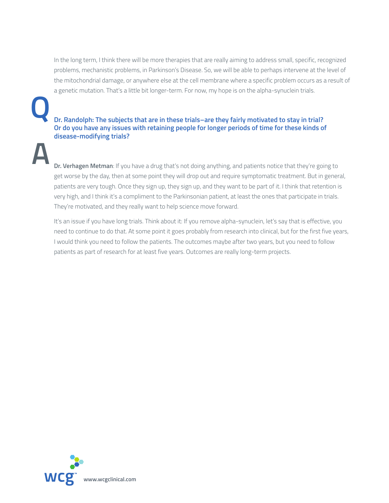In the long term, I think there will be more therapies that are really aiming to address small, specific, recognized problems, mechanistic problems, in Parkinson's Disease. So, we will be able to perhaps intervene at the level of the mitochondrial damage, or anywhere else at the cell membrane where a specific problem occurs as a result of a genetic mutation. That's a little bit longer-term. For now, my hope is on the alpha-synuclein trials.

**Dr. Randolph: The subjects that are in these trials–are they fairly motivated to stay in trial? Or do you have any issues with retaining people for longer periods of time for these kinds of disease-modifying trials?**

 **Dr. Verhagen Metman**: If you have a drug that's not doing anything, and patients notice that they're going to get worse by the day, then at some point they will drop out and require symptomatic treatment. But in general, patients are very tough. Once they sign up, they sign up, and they want to be part of it. I think that retention is very high, and I think it's a compliment to the Parkinsonian patient, at least the ones that participate in trials. They're motivated, and they really want to help science move forward.

 It's an issue if you have long trials. Think about it: If you remove alpha-synuclein, let's say that is effective, you need to continue to do that. At some point it goes probably from research into clinical, but for the first five years, I would think you need to follow the patients. The outcomes maybe after two years, but you need to follow patients as part of research for at least five years. Outcomes are really long-term projects.